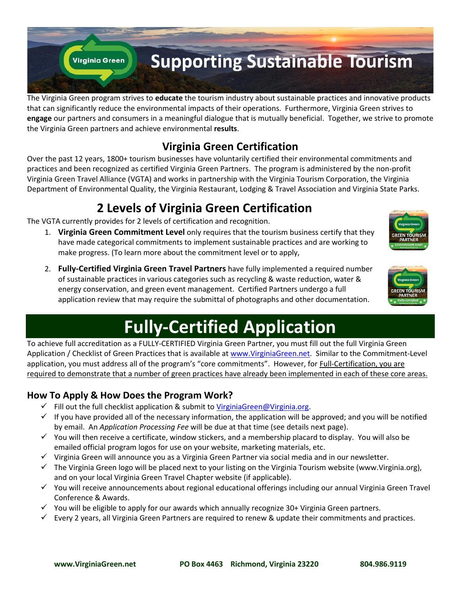

The Virginia Green program strives to **educate** the tourism industry about sustainable practices and innovative products that can significantly reduce the environmental impacts of their operations. Furthermore, Virginia Green strives to **engage** our partners and consumers in a meaningful dialogue that is mutually beneficial. Together, we strive to promote the Virginia Green partners and achieve environmental **results**.

# **Virginia Green Certification**

Over the past 12 years, 1800+ tourism businesses have voluntarily certified their environmental commitments and practices and been recognized as certified Virginia Green Partners. The program is administered by the non-profit Virginia Green Travel Alliance (VGTA) and works in partnership with the Virginia Tourism Corporation, the Virginia Department of Environmental Quality, the Virginia Restaurant, Lodging & Travel Association and Virginia State Parks.

# **2 Levels of Virginia Green Certification**

The VGTA currently provides for 2 levels of certification and recognition.

- 1. **Virginia Green Commitment Level** only requires that the tourism business certify that they have made categorical commitments to implement sustainable practices and are working to make progress. (To learn more about the commitment level or to apply,
- 2. **Fully-Certified Virginia Green Travel Partners** have fully implemented a required number of sustainable practices in various categories such as recycling & waste reduction, water & energy conservation, and green event management. Certified Partners undergo a full application review that may require the submittal of photographs and other documentation.





# **Fully-Certified Application**

To achieve full accreditation as a FULLY-CERTIFIED Virginia Green Partner, you must fill out the full Virginia Green Application / Checklist of Green Practices that is available at [www.VirginiaGreen.net.](http://www.virginiagreen.net/) Similar to the Commitment-Level application, you must address all of the program's "core commitments". However, for Full-Certification, you are required to demonstrate that a number of green practices have already been implemented in each of these core areas.

## **How To Apply & How Does the Program Work?**

- Fill out the full checklist application & submit to [VirginiaGreen@Virginia.org.](mailto:VirginiaGreen@Virginia.org)
- $\checkmark$  If you have provided all of the necessary information, the application will be approved; and you will be notified by email. An *Application Processing Fee* will be due at that time (see details next page).
- $\checkmark$  You will then receive a certificate, window stickers, and a membership placard to display. You will also be emailed official program logos for use on your website, marketing materials, etc.
- $\checkmark$  Virginia Green will announce you as a Virginia Green Partner via social media and in our newsletter.
- $\checkmark$  The Virginia Green logo will be placed next to your listing on the Virginia Tourism website (www.Virginia.org), and on your local Virginia Green Travel Chapter website (if applicable).
- You will receive announcements about regional educational offerings including our annual Virginia Green Travel Conference & Awards.
- $\checkmark$  You will be eligible to apply for our awards which annually recognize 30+ Virginia Green partners.
- $\checkmark$  Every 2 years, all Virginia Green Partners are required to renew & update their commitments and practices.